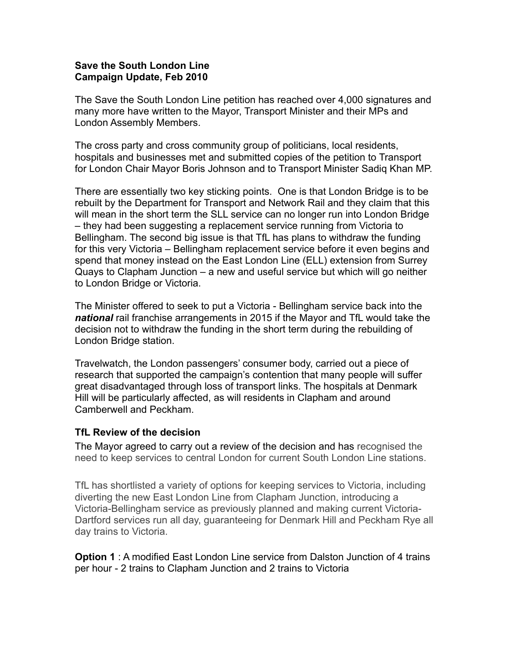## **Save the South London Line Campaign Update, Feb 2010**

The Save the South London Line petition has reached over 4,000 signatures and many more have written to the Mayor, Transport Minister and their MPs and London Assembly Members.

The cross party and cross community group of politicians, local residents, hospitals and businesses met and submitted copies of the petition to Transport for London Chair Mayor Boris Johnson and to Transport Minister Sadiq Khan MP.

There are essentially two key sticking points. One is that London Bridge is to be rebuilt by the Department for Transport and Network Rail and they claim that this will mean in the short term the SLL service can no longer run into London Bridge – they had been suggesting a replacement service running from Victoria to Bellingham. The second big issue is that TfL has plans to withdraw the funding for this very Victoria – Bellingham replacement service before it even begins and spend that money instead on the East London Line (ELL) extension from Surrey Quays to Clapham Junction – a new and useful service but which will go neither to London Bridge or Victoria.

The Minister offered to seek to put a Victoria - Bellingham service back into the *national* rail franchise arrangements in 2015 if the Mayor and TfL would take the decision not to withdraw the funding in the short term during the rebuilding of London Bridge station.

Travelwatch, the London passengers' consumer body, carried out a piece of research that supported the campaign's contention that many people will suffer great disadvantaged through loss of transport links. The hospitals at Denmark Hill will be particularly affected, as will residents in Clapham and around Camberwell and Peckham.

## **TfL Review of the decision**

The Mayor agreed to carry out a review of the decision and has recognised the need to keep services to central London for current South London Line stations.

TfL has shortlisted a variety of options for keeping services to Victoria, including diverting the new East London Line from Clapham Junction, introducing a Victoria-Bellingham service as previously planned and making current Victoria-Dartford services run all day, guaranteeing for Denmark Hill and Peckham Rye all day trains to Victoria.

**Option 1** : A modified East London Line service from Dalston Junction of 4 trains per hour - 2 trains to Clapham Junction and 2 trains to Victoria